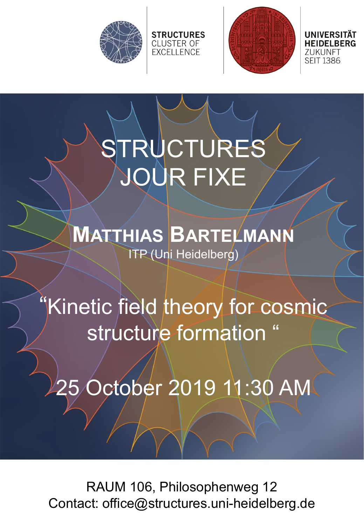



ZUKUNFT **SEIT 1386** 

# STRUCTURES JOUR FIXE

**STRUCTURES** CLUSTER OF<br>EXCELLENCE

### **MATTHIAS BARTELMANN** ITP (Uni Heidelberg)

## "Kinetic field theory for cosmic structure formation

October 2019 11:30 AM

RAUM 106, Philosophenweg 12 Contact: office@structures.uni-heidelberg.de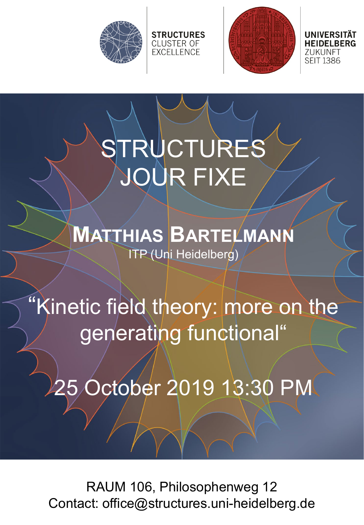



ZUKUNFT **SEIT 1386** 

# STRUCTURES JOUR FIXE

**STRUCTURES** CLUSTER OF<br>EXCELLENCE

### **MATTHIAS BARTELMANN** ITP (Uni Heidelberg)

## "Kinetic field theory: more on the generating functional"

25 October 2019 13:30 PM

RAUM 106, Philosophenweg 12 Contact: office@structures.uni-heidelberg.de